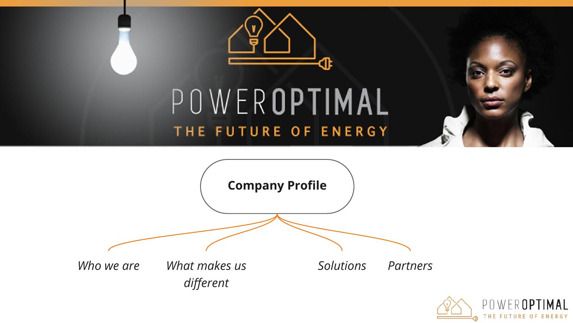



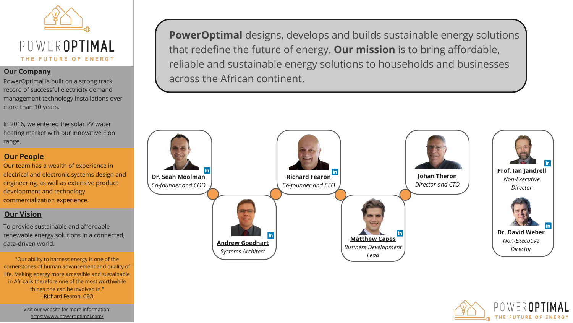

#### **Our Company**

PowerOptimal is built on a strong track record of successful electricity demand management technology installations over more than 10 years.

In 2016, we entered the solar PV water heating market with our innovative Elon range.

### **Our People**

Our team has a wealth of experience in electrical and electronic systems design and engineering, as well as extensive product development and technology commercialization experience.

### **Our Vision**

To provide sustainable and affordable renewable energy solutions in a connected, data-driven world.

"Our ability to harness energy is one of the cornerstones of human advancement and quality of life. Making energy more accessible and sustainable in Africa is therefore one of the most worthwhile things one can be involved in." - Richard Fearon, CEO

> Visit our website for more information: <https://www.poweroptimal.com/>

**PowerOptimal** designs, develops and builds sustainable energy solutions that redefine the future of energy. **Our mission** is to bring affordable, reliable and sustainable energy solutions to households and businesses across the African continent.



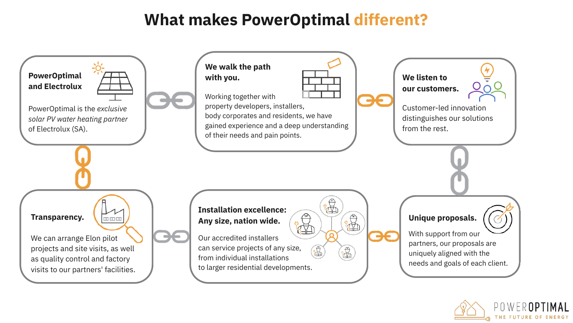# **What makes PowerOptimal different?**



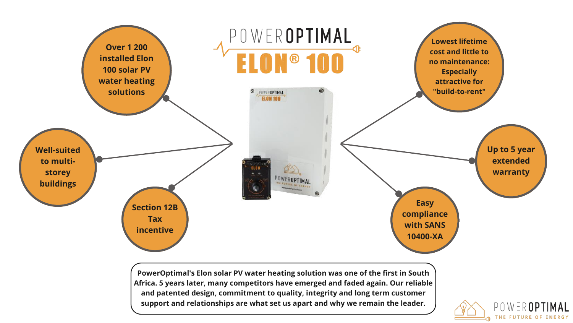

**PowerOptimal's Elon solar PV water heating solution was one of the first in South Africa. 5 years later, many competitors have emerged and faded again. Our reliable and patented design, commitment to quality, integrity and long term customer support and relationships are what set us apart and why we remain the leader.**

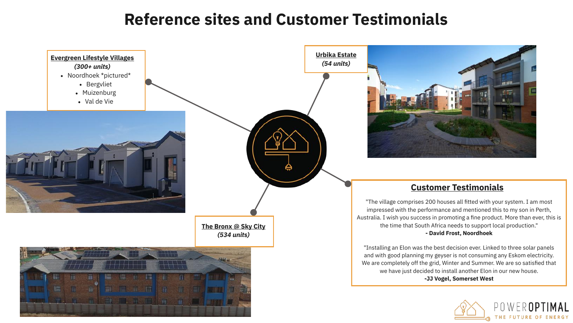## **Reference sites and Customer Testimonials**